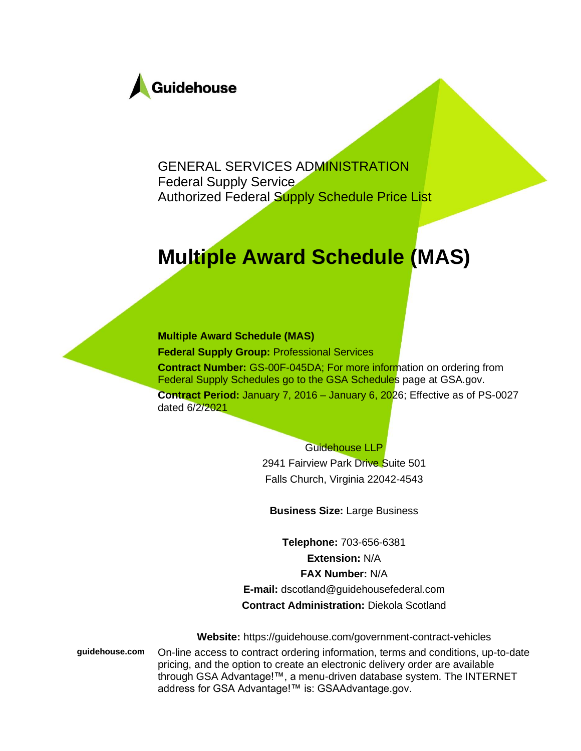

GENERAL SERVICES ADMINISTRATION Federal Supply Service Authorized Federal Supply Schedule Price List

## **Multiple Award Schedule (MAS)**

#### **Multiple Award Schedule (MAS)**

**Federal Supply Group:** Professional Services **Contract Number:** GS-00F-045DA; For more information on ordering from Federal Supply Schedules go to the GSA Schedules page at GSA.gov. **Contract Period:** January 7, 2016 – January 6, 2026; Effective as of PS-0027 dated 6/2/2021

#### Guidehouse LLP

2941 Fairview Park Drive Suite 501 Falls Church, Virginia 22042-4543

**Business Size:** Large Business

**Telephone:** 703-656-6381 **Extension:** N/A **FAX Number:** N/A **E-mail:** dscotland@guidehousefederal.com **Contract Administration:** Diekola Scotland

**Website:** https://guidehouse.com/government-contract-vehicles

**guidehouse.com** On-line access to contract ordering information, terms and conditions, up-to-date pricing, and the option to create an electronic delivery order are available through GSA Advantage!™, a menu-driven database system. The INTERNET address for GSA Advantage!™ is: GSAAdvantage.gov.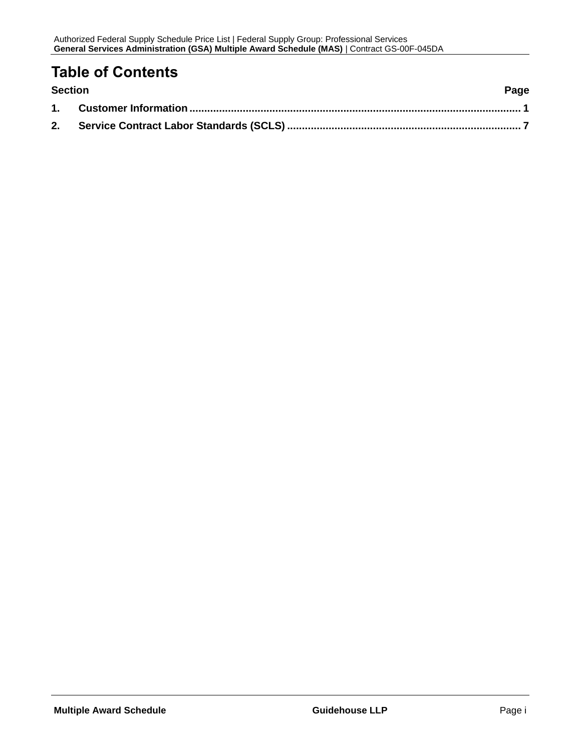### **Table of Contents**

| <b>Section</b> | Page |
|----------------|------|
|                |      |
|                |      |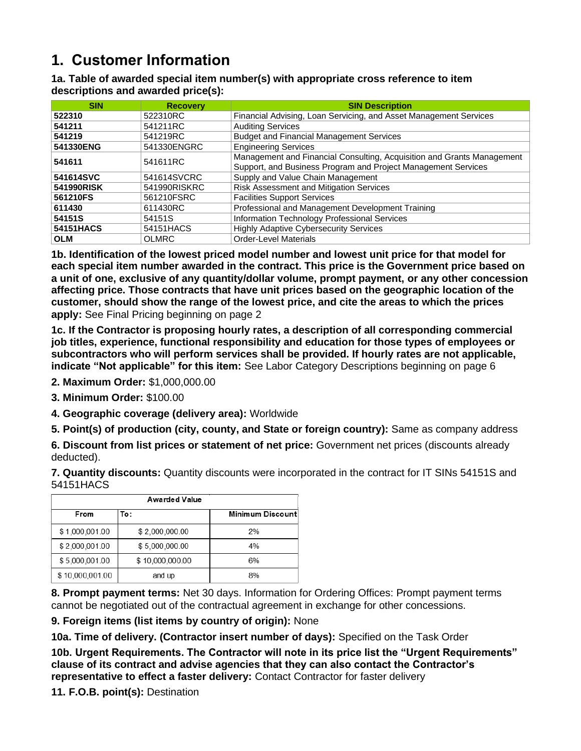### <span id="page-2-0"></span>**1. Customer Information**

#### **1a. Table of awarded special item number(s) with appropriate cross reference to item descriptions and awarded price(s):**

| <b>SIN</b> | <b>Recovery</b> | <b>SIN Description</b>                                                 |
|------------|-----------------|------------------------------------------------------------------------|
| 522310     | 522310RC        | Financial Advising, Loan Servicing, and Asset Management Services      |
| 541211     | 541211RC        | <b>Auditing Services</b>                                               |
| 541219     | 541219RC        | <b>Budget and Financial Management Services</b>                        |
| 541330ENG  | 541330ENGRC     | <b>Engineering Services</b>                                            |
| 541611     | 541611RC        | Management and Financial Consulting, Acquisition and Grants Management |
|            |                 | Support, and Business Program and Project Management Services          |
| 541614SVC  | 541614SVCRC     | Supply and Value Chain Management                                      |
| 541990RISK | 541990RISKRC    | <b>Risk Assessment and Mitigation Services</b>                         |
| 561210FS   | 561210FSRC      | <b>Facilities Support Services</b>                                     |
| 611430     | 611430RC        | Professional and Management Development Training                       |
| 54151S     | 54151S          | Information Technology Professional Services                           |
| 54151HACS  | 54151HACS       | <b>Highly Adaptive Cybersecurity Services</b>                          |
| <b>OLM</b> | <b>OLMRC</b>    | <b>Order-Level Materials</b>                                           |

**1b. Identification of the lowest priced model number and lowest unit price for that model for each special item number awarded in the contract. This price is the Government price based on a unit of one, exclusive of any quantity/dollar volume, prompt payment, or any other concession affecting price. Those contracts that have unit prices based on the geographic location of the customer, should show the range of the lowest price, and cite the areas to which the prices apply:** See Final Pricing beginning on page 2

**1c. If the Contractor is proposing hourly rates, a description of all corresponding commercial job titles, experience, functional responsibility and education for those types of employees or subcontractors who will perform services shall be provided. If hourly rates are not applicable, indicate "Not applicable" for this item:** See Labor Category Descriptions beginning on page 6

- **2. Maximum Order:** \$1,000,000.00
- **3. Minimum Order:** \$100.00
- **4. Geographic coverage (delivery area):** Worldwide

**5. Point(s) of production (city, county, and State or foreign country):** Same as company address

**6. Discount from list prices or statement of net price:** Government net prices (discounts already deducted).

**7. Quantity discounts:** Quantity discounts were incorporated in the contract for IT SINs 54151S and 54151HACS

| <b>Awarded Value</b> |                 |                         |  |  |  |  |
|----------------------|-----------------|-------------------------|--|--|--|--|
| From                 | To:             | <b>Minimum Discount</b> |  |  |  |  |
| \$1,000,001.00       | \$2,000,000.00  | 2%                      |  |  |  |  |
| \$2,000,001.00       | \$5,000,000.00  | 4%                      |  |  |  |  |
| \$5,000,001.00       | \$10,000,000.00 | 6%                      |  |  |  |  |
| \$10,000,001.00      | and up          | 8%                      |  |  |  |  |

**8. Prompt payment terms:** Net 30 days. Information for Ordering Offices: Prompt payment terms cannot be negotiated out of the contractual agreement in exchange for other concessions.

**9. Foreign items (list items by country of origin):** None

**10a. Time of delivery. (Contractor insert number of days):** Specified on the Task Order

**10b. Urgent Requirements. The Contractor will note in its price list the "Urgent Requirements" clause of its contract and advise agencies that they can also contact the Contractor's representative to effect a faster delivery:** Contact Contractor for faster delivery

**11. F.O.B. point(s):** Destination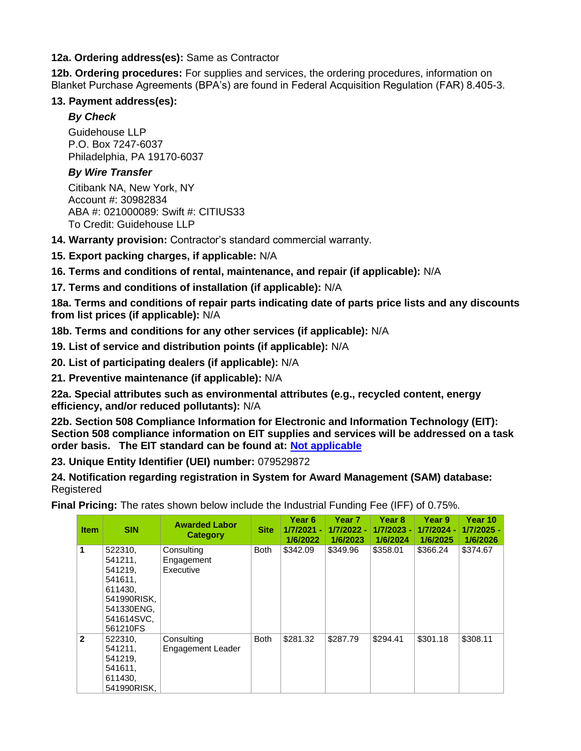#### **12a. Ordering address(es):** Same as Contractor

**12b. Ordering procedures:** For supplies and services, the ordering procedures, information on Blanket Purchase Agreements (BPA's) are found in Federal Acquisition Regulation (FAR) 8.405-3.

#### **13. Payment address(es):**

#### *By Check*

Guidehouse LLP P.O. Box 7247-6037 Philadelphia, PA 19170-6037

#### *By Wire Transfer*

Citibank NA, New York, NY Account #: 30982834 ABA #: 021000089: Swift #: CITIUS33 To Credit: Guidehouse LLP

**14. Warranty provision:** Contractor's standard commercial warranty.

**15. Export packing charges, if applicable:** N/A

**16. Terms and conditions of rental, maintenance, and repair (if applicable):** N/A

**17. Terms and conditions of installation (if applicable):** N/A

**18a. Terms and conditions of repair parts indicating date of parts price lists and any discounts from list prices (if applicable):** N/A

**18b. Terms and conditions for any other services (if applicable):** N/A

**19. List of service and distribution points (if applicable):** N/A

**20. List of participating dealers (if applicable):** N/A

**21. Preventive maintenance (if applicable):** N/A

**22a. Special attributes such as environmental attributes (e.g., recycled content, energy efficiency, and/or reduced pollutants):** N/A

**22b. Section 508 Compliance Information for Electronic and Information Technology (EIT): Section 508 compliance information on EIT supplies and services will be addressed on a task order basis. The EIT standard can be found at: [Not](http://www.section508.gov/) applicable**

**23. Unique Entity Identifier (UEI) number:** 079529872

**24. Notification regarding registration in System for Award Management (SAM) database:** Registered

**Final Pricing:** The rates shown below include the Industrial Funding Fee (IFF) of 0.75%.

| <b>Item</b>  | <b>SIN</b>                                                                                                 | <b>Awarded Labor</b><br><b>Category</b> | <b>Site</b> | Year <sub>6</sub><br>1/7/2021 -<br>1/6/2022 | Year <sub>7</sub><br>1/7/2022 -<br>1/6/2023 | Year <sub>8</sub><br>1/7/2023 -<br>1/6/2024 | Year 9<br>1/7/2024 -<br>1/6/2025 | Year 10<br>1/7/2025 -<br>1/6/2026 |
|--------------|------------------------------------------------------------------------------------------------------------|-----------------------------------------|-------------|---------------------------------------------|---------------------------------------------|---------------------------------------------|----------------------------------|-----------------------------------|
| 1            | 522310,<br>541211.<br>541219.<br>541611.<br>611430,<br>541990RISK,<br>541330ENG,<br>541614SVC.<br>561210FS | Consulting<br>Engagement<br>Executive   | <b>Both</b> | \$342.09                                    | \$349.96                                    | \$358.01                                    | \$366.24                         | \$374.67                          |
| $\mathbf{2}$ | 522310,<br>541211.<br>541219,<br>541611.<br>611430,<br>541990RISK.                                         | Consulting<br>Engagement Leader         | <b>Both</b> | \$281.32                                    | \$287.79                                    | \$294.41                                    | \$301.18                         | \$308.11                          |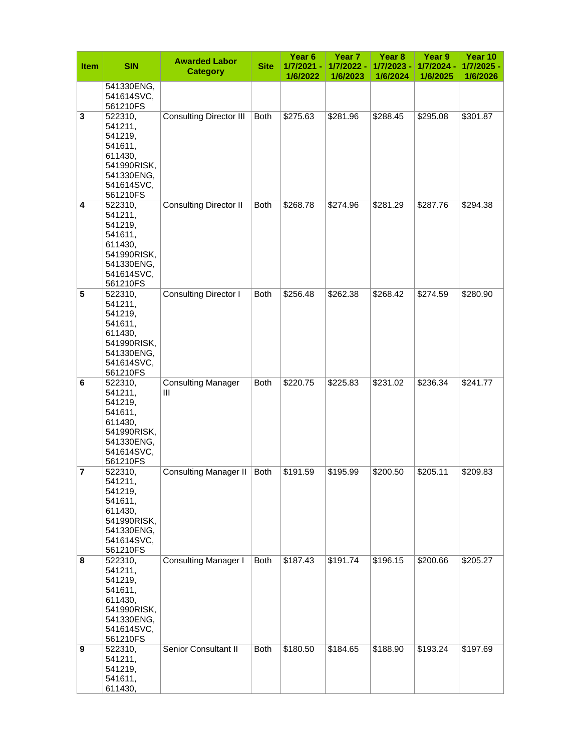| <b>Item</b> | <b>SIN</b>                                                                                                 | <b>Awarded Labor</b><br><b>Category</b> | <b>Site</b> | Year <sub>6</sub><br>1/7/2021 -<br>1/6/2022 | Year <sub>7</sub><br>1/7/2022 -<br>1/6/2023 | Year 8<br>1/7/2023 -<br>1/6/2024 | Year 9<br>1/7/2024 -<br>1/6/2025 | Year 10<br>1/7/2025 -<br>1/6/2026 |
|-------------|------------------------------------------------------------------------------------------------------------|-----------------------------------------|-------------|---------------------------------------------|---------------------------------------------|----------------------------------|----------------------------------|-----------------------------------|
|             | 541330ENG,<br>541614SVC,<br>561210FS                                                                       |                                         |             |                                             |                                             |                                  |                                  |                                   |
| 3           | 522310,<br>541211,<br>541219,<br>541611,<br>611430,<br>541990RISK,<br>541330ENG,<br>541614SVC,<br>561210FS | <b>Consulting Director III</b>          | <b>Both</b> | \$275.63                                    | \$281.96                                    | \$288.45                         | \$295.08                         | \$301.87                          |
| 4           | 522310,<br>541211,<br>541219,<br>541611,<br>611430,<br>541990RISK,<br>541330ENG,<br>541614SVC,<br>561210FS | <b>Consulting Director II</b>           | <b>Both</b> | \$268.78                                    | \$274.96                                    | \$281.29                         | \$287.76                         | \$294.38                          |
| 5           | 522310,<br>541211,<br>541219,<br>541611,<br>611430,<br>541990RISK,<br>541330ENG,<br>541614SVC,<br>561210FS | <b>Consulting Director I</b>            | <b>Both</b> | \$256.48                                    | \$262.38                                    | \$268.42                         | \$274.59                         | \$280.90                          |
| 6           | 522310,<br>541211,<br>541219,<br>541611,<br>611430,<br>541990RISK,<br>541330ENG,<br>541614SVC,<br>561210FS | <b>Consulting Manager</b><br>Ш          | <b>Both</b> | \$220.75                                    | \$225.83                                    | \$231.02                         | \$236.34                         | \$241.77                          |
| 7           | 522310,<br>541211,<br>541219,<br>541611,<br>611430,<br>541990RISK,<br>541330ENG,<br>541614SVC,<br>561210FS | <b>Consulting Manager II</b>            | Both        | \$191.59                                    | \$195.99                                    | \$200.50                         | \$205.11                         | \$209.83                          |
| 8           | 522310,<br>541211,<br>541219,<br>541611,<br>611430,<br>541990RISK,<br>541330ENG,<br>541614SVC,<br>561210FS | <b>Consulting Manager I</b>             | <b>Both</b> | \$187.43                                    | \$191.74                                    | \$196.15                         | \$200.66                         | \$205.27                          |
| 9           | 522310,<br>541211,<br>541219,<br>541611,<br>611430,                                                        | Senior Consultant II                    | <b>Both</b> | \$180.50                                    | \$184.65                                    | \$188.90                         | \$193.24                         | \$197.69                          |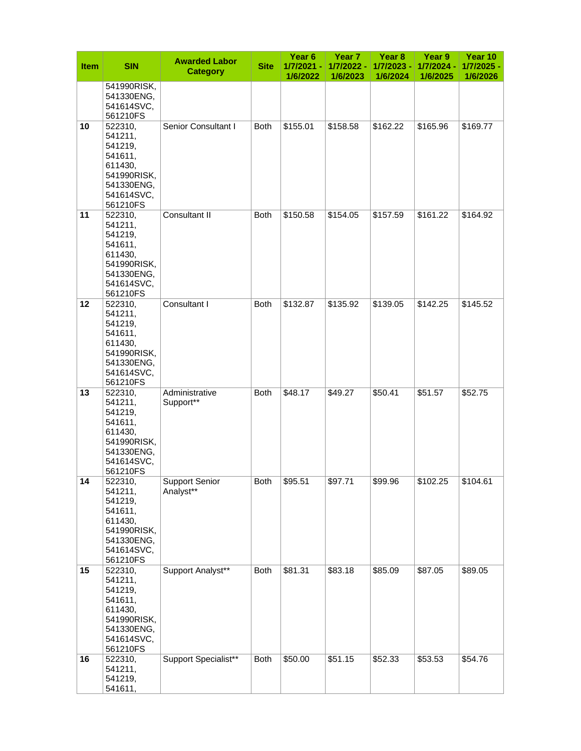| <b>Item</b> | <b>SIN</b>                                                                                                 | <b>Awarded Labor</b><br><b>Category</b> | <b>Site</b> | Year <sub>6</sub><br>1/7/2021 - | Year 7<br>1/7/2022 - | Year 8<br>1/7/2023 - | Year 9<br>1/7/2024 - | Year 10<br>1/7/2025 - |
|-------------|------------------------------------------------------------------------------------------------------------|-----------------------------------------|-------------|---------------------------------|----------------------|----------------------|----------------------|-----------------------|
|             | 541990RISK,<br>541330ENG,<br>541614SVC,<br>561210FS                                                        |                                         |             | 1/6/2022                        | 1/6/2023             | 1/6/2024             | 1/6/2025             | 1/6/2026              |
| 10          | 522310,<br>541211,<br>541219,<br>541611,<br>611430,<br>541990RISK,<br>541330ENG,<br>541614SVC,<br>561210FS | Senior Consultant I                     | <b>Both</b> | \$155.01                        | \$158.58             | \$162.22             | \$165.96             | \$169.77              |
| 11          | 522310,<br>541211,<br>541219,<br>541611,<br>611430,<br>541990RISK,<br>541330ENG,<br>541614SVC,<br>561210FS | Consultant II                           | <b>Both</b> | \$150.58                        | \$154.05             | \$157.59             | \$161.22             | \$164.92              |
| 12          | 522310,<br>541211,<br>541219,<br>541611,<br>611430,<br>541990RISK,<br>541330ENG,<br>541614SVC,<br>561210FS | Consultant I                            | <b>Both</b> | \$132.87                        | \$135.92             | \$139.05             | \$142.25             | \$145.52              |
| 13          | 522310,<br>541211,<br>541219,<br>541611,<br>611430,<br>541990RISK,<br>541330ENG,<br>541614SVC,<br>561210FS | Administrative<br>Support**             | <b>Both</b> | \$48.17                         | \$49.27              | \$50.41              | \$51.57              | \$52.75               |
| 14          | 522310,<br>541211,<br>541219,<br>541611,<br>611430,<br>541990RISK,<br>541330ENG,<br>541614SVC,<br>561210FS | <b>Support Senior</b><br>Analyst**      | <b>Both</b> | \$95.51                         | \$97.71              | \$99.96              | \$102.25             | \$104.61              |
| 15          | 522310,<br>541211,<br>541219,<br>541611,<br>611430,<br>541990RISK,<br>541330ENG,<br>541614SVC,<br>561210FS | Support Analyst**                       | <b>Both</b> | \$81.31                         | \$83.18              | \$85.09              | \$87.05              | \$89.05               |
| 16          | 522310,<br>541211,<br>541219,<br>541611,                                                                   | Support Specialist**                    | Both        | \$50.00                         | \$51.15              | \$52.33              | \$53.53              | \$54.76               |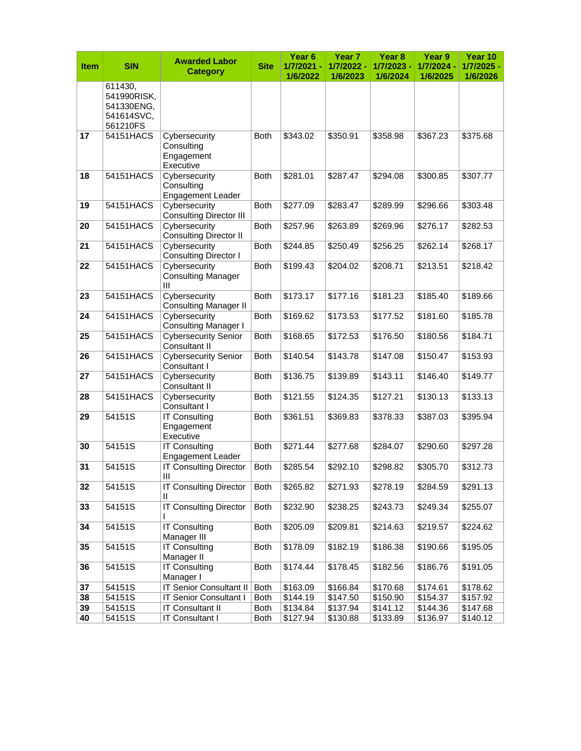| <b>Item</b> | <b>SIN</b>  | <b>Awarded Labor</b><br><b>Category</b>      | <b>Site</b> | Year <sub>6</sub><br>1/7/2021 -<br>1/6/2022 | Year 7<br>1/7/2022 -<br>1/6/2023 | Year <sub>8</sub><br>1/7/2023 -<br>1/6/2024 | Year 9<br>1/7/2024 -<br>1/6/2025 | Year 10<br>1/7/2025<br>1/6/2026 |
|-------------|-------------|----------------------------------------------|-------------|---------------------------------------------|----------------------------------|---------------------------------------------|----------------------------------|---------------------------------|
|             | 611430,     |                                              |             |                                             |                                  |                                             |                                  |                                 |
|             | 541990RISK, |                                              |             |                                             |                                  |                                             |                                  |                                 |
|             | 541330ENG,  |                                              |             |                                             |                                  |                                             |                                  |                                 |
|             | 541614SVC.  |                                              |             |                                             |                                  |                                             |                                  |                                 |
|             | 561210FS    |                                              |             |                                             |                                  |                                             |                                  |                                 |
| 17          | 54151HACS   | Cybersecurity                                | <b>Both</b> | \$343.02                                    | \$350.91                         | \$358.98                                    | \$367.23                         | \$375.68                        |
|             |             | Consulting                                   |             |                                             |                                  |                                             |                                  |                                 |
|             |             | Engagement                                   |             |                                             |                                  |                                             |                                  |                                 |
|             |             | Executive                                    |             |                                             |                                  |                                             |                                  |                                 |
| 18          | 54151HACS   | Cybersecurity                                | <b>Both</b> | \$281.01                                    | \$287.47                         | \$294.08                                    | \$300.85                         | \$307.77                        |
|             |             | Consulting<br>Engagement Leader              |             |                                             |                                  |                                             |                                  |                                 |
| 19          | 54151HACS   | Cybersecurity                                | <b>Both</b> | \$277.09                                    | \$283.47                         | \$289.99                                    | \$296.66                         | \$303.48                        |
|             |             | <b>Consulting Director III</b>               |             |                                             |                                  |                                             |                                  |                                 |
| 20          | 54151HACS   | Cybersecurity                                | <b>Both</b> | \$257.96                                    | \$263.89                         | \$269.96                                    | \$276.17                         | \$282.53                        |
|             |             | <b>Consulting Director II</b>                |             |                                             |                                  |                                             |                                  |                                 |
| 21          | 54151HACS   | Cybersecurity                                | <b>Both</b> | \$244.85                                    | \$250.49                         | \$256.25                                    | \$262.14                         | \$268.17                        |
|             |             | <b>Consulting Director I</b>                 |             |                                             |                                  |                                             |                                  |                                 |
| 22          | 54151HACS   | Cybersecurity                                | <b>Both</b> | \$199.43                                    | \$204.02                         | \$208.71                                    | \$213.51                         | \$218.42                        |
|             |             | <b>Consulting Manager</b>                    |             |                                             |                                  |                                             |                                  |                                 |
|             |             | III                                          |             |                                             |                                  |                                             |                                  |                                 |
| 23          | 54151HACS   | Cybersecurity                                | <b>Both</b> | \$173.17                                    | \$177.16                         | \$181.23                                    | \$185.40                         | \$189.66                        |
|             |             | <b>Consulting Manager II</b>                 |             |                                             |                                  |                                             |                                  |                                 |
| 24          | 54151HACS   | Cybersecurity                                | <b>Both</b> | \$169.62                                    | \$173.53                         | \$177.52                                    | \$181.60                         | \$185.78                        |
|             |             | <b>Consulting Manager I</b>                  |             |                                             |                                  |                                             |                                  |                                 |
| 25          | 54151HACS   | <b>Cybersecurity Senior</b><br>Consultant II | <b>Both</b> | \$168.65                                    | \$172.53                         | \$176.50                                    | \$180.56                         | \$184.71                        |
| 26          | 54151HACS   | <b>Cybersecurity Senior</b>                  | <b>Both</b> | \$140.54                                    | \$143.78                         | \$147.08                                    | \$150.47                         | \$153.93                        |
|             |             | Consultant I                                 |             |                                             |                                  |                                             |                                  |                                 |
| 27          | 54151HACS   | Cybersecurity                                | <b>Both</b> | \$136.75                                    | \$139.89                         | \$143.11                                    | \$146.40                         | \$149.77                        |
|             |             | Consultant II                                |             |                                             |                                  |                                             |                                  |                                 |
| 28          | 54151HACS   | Cybersecurity                                | <b>Both</b> | \$121.55                                    | \$124.35                         | \$127.21                                    | \$130.13                         | \$133.13                        |
|             |             | Consultant I                                 |             |                                             |                                  |                                             |                                  |                                 |
| 29          | 54151S      | <b>IT Consulting</b>                         | <b>Both</b> | \$361.51                                    | \$369.83                         | \$378.33                                    | \$387.03                         | \$395.94                        |
|             |             | Engagement                                   |             |                                             |                                  |                                             |                                  |                                 |
|             |             | Executive                                    |             |                                             |                                  |                                             |                                  |                                 |
| 30          | 54151S      | <b>IT Consulting</b><br>Engagement Leader    | <b>Both</b> | \$271.44                                    | \$277.68                         | \$284.07                                    | \$290.60                         | \$297.28                        |
| 31          | 54151S      | <b>IT Consulting Director</b>                | <b>Both</b> | \$285.54                                    | \$292.10                         | \$298.82                                    | \$305.70                         | \$312.73                        |
|             |             | Ш                                            |             |                                             |                                  |                                             |                                  |                                 |
| 32          | 54151S      | <b>IT Consulting Director</b>                | <b>Both</b> | \$265.82                                    | \$271.93                         | \$278.19                                    | \$284.59                         | \$291.13                        |
|             |             | Ш                                            |             |                                             |                                  |                                             |                                  |                                 |
| 33          | 54151S      | <b>IT Consulting Director</b>                | Both        | \$232.90                                    | \$238.25                         | \$243.73                                    | \$249.34                         | \$255.07                        |
|             |             |                                              |             |                                             |                                  |                                             |                                  |                                 |
| 34          | 54151S      | <b>IT Consulting</b>                         | <b>Both</b> | \$205.09                                    | \$209.81                         | \$214.63                                    | \$219.57                         | \$224.62                        |
|             |             | Manager III                                  |             |                                             |                                  |                                             |                                  |                                 |
| 35          | 54151S      | <b>IT Consulting</b>                         | <b>Both</b> | \$178.09                                    | \$182.19                         | \$186.38                                    | \$190.66                         | \$195.05                        |
|             |             | Manager II                                   |             |                                             |                                  |                                             |                                  |                                 |
| 36          | 54151S      | <b>IT Consulting</b>                         | <b>Both</b> | \$174.44                                    | \$178.45                         | \$182.56                                    | \$186.76                         | \$191.05                        |
| 37          | 54151S      | Manager I<br><b>IT Senior Consultant II</b>  | <b>Both</b> | \$163.09                                    | \$166.84                         | \$170.68                                    | \$174.61                         | \$178.62                        |
| 38          | 54151S      | <b>IT Senior Consultant I</b>                | <b>Both</b> | \$144.19                                    | \$147.50                         | \$150.90                                    | \$154.37                         | \$157.92                        |
| 39          | 54151S      | <b>IT Consultant II</b>                      | Both        | \$134.84                                    | \$137.94                         | \$141.12                                    | \$144.36                         | \$147.68                        |
| 40          | 54151S      | IT Consultant I                              | Both        | \$127.94                                    | \$130.88                         | \$133.89                                    | \$136.97                         | \$140.12                        |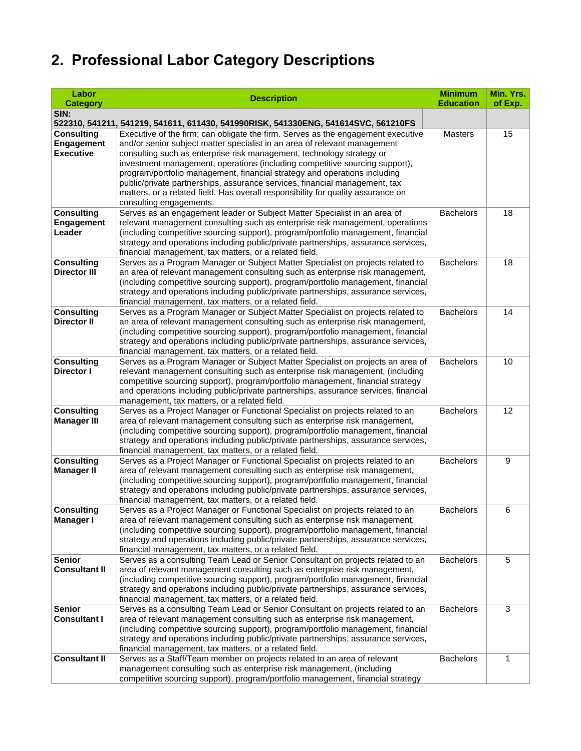# **2. Professional Labor Category Descriptions**

| Labor                                  | <b>Description</b>                                                                                                                                                      | <b>Minimum</b>   | Min. Yrs. |
|----------------------------------------|-------------------------------------------------------------------------------------------------------------------------------------------------------------------------|------------------|-----------|
| <b>Category</b>                        |                                                                                                                                                                         | <b>Education</b> | of Exp.   |
| SIN:                                   |                                                                                                                                                                         |                  |           |
|                                        | 522310, 541211, 541219, 541611, 611430, 541990RISK, 541330ENG, 541614SVC, 561210FS                                                                                      |                  |           |
| <b>Consulting</b><br>Engagement        | Executive of the firm; can obligate the firm. Serves as the engagement executive<br>and/or senior subject matter specialist in an area of relevant management           | Masters          | 15        |
| Executive                              | consulting such as enterprise risk management, technology strategy or                                                                                                   |                  |           |
|                                        | investment management, operations (including competitive sourcing support),                                                                                             |                  |           |
|                                        | program/portfolio management, financial strategy and operations including                                                                                               |                  |           |
|                                        | public/private partnerships, assurance services, financial management, tax                                                                                              |                  |           |
|                                        | matters, or a related field. Has overall responsibility for quality assurance on                                                                                        |                  |           |
|                                        | consulting engagements.                                                                                                                                                 | <b>Bachelors</b> | 18        |
| <b>Consulting</b><br><b>Engagement</b> | Serves as an engagement leader or Subject Matter Specialist in an area of<br>relevant management consulting such as enterprise risk management, operations              |                  |           |
| Leader                                 | (including competitive sourcing support), program/portfolio management, financial                                                                                       |                  |           |
|                                        | strategy and operations including public/private partnerships, assurance services,                                                                                      |                  |           |
|                                        | financial management, tax matters, or a related field.                                                                                                                  |                  |           |
| <b>Consulting</b>                      | Serves as a Program Manager or Subject Matter Specialist on projects related to                                                                                         | <b>Bachelors</b> | 18        |
| <b>Director III</b>                    | an area of relevant management consulting such as enterprise risk management,                                                                                           |                  |           |
|                                        | (including competitive sourcing support), program/portfolio management, financial                                                                                       |                  |           |
|                                        | strategy and operations including public/private partnerships, assurance services,<br>financial management, tax matters, or a related field.                            |                  |           |
| <b>Consulting</b>                      | Serves as a Program Manager or Subject Matter Specialist on projects related to                                                                                         | <b>Bachelors</b> | 14        |
| <b>Director II</b>                     | an area of relevant management consulting such as enterprise risk management,                                                                                           |                  |           |
|                                        | (including competitive sourcing support), program/portfolio management, financial                                                                                       |                  |           |
|                                        | strategy and operations including public/private partnerships, assurance services,                                                                                      |                  |           |
|                                        | financial management, tax matters, or a related field.                                                                                                                  |                  |           |
| <b>Consulting</b><br><b>Director I</b> | Serves as a Program Manager or Subject Matter Specialist on projects an area of<br>relevant management consulting such as enterprise risk management, (including        | <b>Bachelors</b> | 10        |
|                                        | competitive sourcing support), program/portfolio management, financial strategy                                                                                         |                  |           |
|                                        | and operations including public/private partnerships, assurance services, financial                                                                                     |                  |           |
|                                        | management, tax matters, or a related field.                                                                                                                            |                  |           |
| <b>Consulting</b>                      | Serves as a Project Manager or Functional Specialist on projects related to an                                                                                          | <b>Bachelors</b> | 12        |
| <b>Manager III</b>                     | area of relevant management consulting such as enterprise risk management,                                                                                              |                  |           |
|                                        | (including competitive sourcing support), program/portfolio management, financial<br>strategy and operations including public/private partnerships, assurance services, |                  |           |
|                                        | financial management, tax matters, or a related field.                                                                                                                  |                  |           |
| <b>Consulting</b>                      | Serves as a Project Manager or Functional Specialist on projects related to an                                                                                          | <b>Bachelors</b> | 9         |
| <b>Manager II</b>                      | area of relevant management consulting such as enterprise risk management,                                                                                              |                  |           |
|                                        | (including competitive sourcing support), program/portfolio management, financial                                                                                       |                  |           |
|                                        | strategy and operations including public/private partnerships, assurance services,                                                                                      |                  |           |
| <b>Consulting</b>                      | financial management, tax matters, or a related field.<br>Serves as a Project Manager or Functional Specialist on projects related to an                                | <b>Bachelors</b> | 6         |
| <b>Manager I</b>                       | area of relevant management consulting such as enterprise risk management,                                                                                              |                  |           |
|                                        | (including competitive sourcing support), program/portfolio management, financial                                                                                       |                  |           |
|                                        | strategy and operations including public/private partnerships, assurance services,                                                                                      |                  |           |
|                                        | financial management, tax matters, or a related field.                                                                                                                  |                  |           |
| <b>Senior</b>                          | Serves as a consulting Team Lead or Senior Consultant on projects related to an                                                                                         | <b>Bachelors</b> | 5         |
| <b>Consultant II</b>                   | area of relevant management consulting such as enterprise risk management,<br>(including competitive sourcing support), program/portfolio management, financial         |                  |           |
|                                        | strategy and operations including public/private partnerships, assurance services,                                                                                      |                  |           |
|                                        | financial management, tax matters, or a related field.                                                                                                                  |                  |           |
| <b>Senior</b>                          | Serves as a consulting Team Lead or Senior Consultant on projects related to an                                                                                         | <b>Bachelors</b> | 3         |
| <b>Consultant I</b>                    | area of relevant management consulting such as enterprise risk management,                                                                                              |                  |           |
|                                        | (including competitive sourcing support), program/portfolio management, financial                                                                                       |                  |           |
|                                        | strategy and operations including public/private partnerships, assurance services,                                                                                      |                  |           |
| <b>Consultant II</b>                   | financial management, tax matters, or a related field.<br>Serves as a Staff/Team member on projects related to an area of relevant                                      | <b>Bachelors</b> | 1         |
|                                        | management consulting such as enterprise risk management, (including                                                                                                    |                  |           |
|                                        | competitive sourcing support), program/portfolio management, financial strategy                                                                                         |                  |           |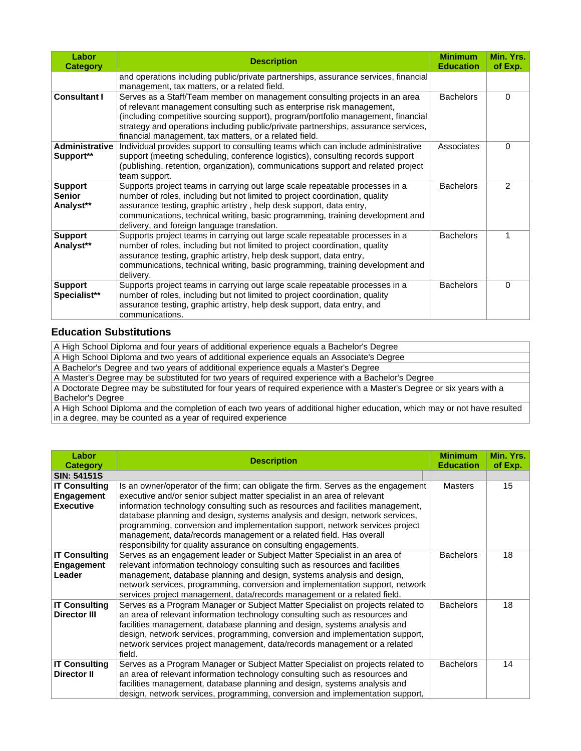| Labor<br><b>Category</b>                     | <b>Description</b>                                                                                                                                                                                                                                                                                                                                                                       | <b>Minimum</b><br><b>Education</b> | Min. Yrs.<br>of Exp. |
|----------------------------------------------|------------------------------------------------------------------------------------------------------------------------------------------------------------------------------------------------------------------------------------------------------------------------------------------------------------------------------------------------------------------------------------------|------------------------------------|----------------------|
|                                              | and operations including public/private partnerships, assurance services, financial<br>management, tax matters, or a related field.                                                                                                                                                                                                                                                      |                                    |                      |
| <b>Consultant I</b>                          | Serves as a Staff/Team member on management consulting projects in an area<br>of relevant management consulting such as enterprise risk management,<br>(including competitive sourcing support), program/portfolio management, financial<br>strategy and operations including public/private partnerships, assurance services,<br>financial management, tax matters, or a related field. | <b>Bachelors</b>                   | $\Omega$             |
| <b>Administrative</b><br>Support**           | Individual provides support to consulting teams which can include administrative<br>support (meeting scheduling, conference logistics), consulting records support<br>(publishing, retention, organization), communications support and related project<br>team support.                                                                                                                 | Associates                         | $\Omega$             |
| <b>Support</b><br><b>Senior</b><br>Analyst** | Supports project teams in carrying out large scale repeatable processes in a<br>number of roles, including but not limited to project coordination, quality<br>assurance testing, graphic artistry, help desk support, data entry,<br>communications, technical writing, basic programming, training development and<br>delivery, and foreign language translation.                      | <b>Bachelors</b>                   | $\mathcal{P}$        |
| <b>Support</b><br>Analyst**                  | Supports project teams in carrying out large scale repeatable processes in a<br>number of roles, including but not limited to project coordination, quality<br>assurance testing, graphic artistry, help desk support, data entry,<br>communications, technical writing, basic programming, training development and<br>delivery.                                                        | <b>Bachelors</b>                   | 1                    |
| <b>Support</b><br>Specialist**               | Supports project teams in carrying out large scale repeatable processes in a<br>number of roles, including but not limited to project coordination, quality<br>assurance testing, graphic artistry, help desk support, data entry, and<br>communications.                                                                                                                                | <b>Bachelors</b>                   | $\Omega$             |

#### **Education Substitutions**

| A High School Diploma and four years of additional experience equals a Bachelor's Degree                                  |
|---------------------------------------------------------------------------------------------------------------------------|
| A High School Diploma and two years of additional experience equals an Associate's Degree                                 |
| A Bachelor's Degree and two years of additional experience equals a Master's Degree                                       |
| A Master's Degree may be substituted for two years of required experience with a Bachelor's Degree                        |
| A Doctorate Degree may be substituted for four years of required experience with a Master's Degree or six years with a    |
| <b>Bachelor's Degree</b>                                                                                                  |
| A High School Diploma and the completion of each two years of additional higher education, which may or not have resulted |
| in a degree may be counted as a year of required experience                                                               |

<span id="page-8-0"></span>in a degree, may be counted as a year of required experience

| Labor<br><b>Category</b>                                      | <b>Description</b>                                                                                                                                                                                                                                                                                                                                                                                                                                                                                                                                        | <b>Minimum</b><br><b>Education</b> | Min. Yrs.<br>of Exp. |
|---------------------------------------------------------------|-----------------------------------------------------------------------------------------------------------------------------------------------------------------------------------------------------------------------------------------------------------------------------------------------------------------------------------------------------------------------------------------------------------------------------------------------------------------------------------------------------------------------------------------------------------|------------------------------------|----------------------|
| <b>SIN: 54151S</b>                                            |                                                                                                                                                                                                                                                                                                                                                                                                                                                                                                                                                           |                                    |                      |
| <b>IT Consulting</b><br><b>Engagement</b><br><b>Executive</b> | Is an owner/operator of the firm; can obligate the firm. Serves as the engagement<br>executive and/or senior subject matter specialist in an area of relevant<br>information technology consulting such as resources and facilities management,<br>database planning and design, systems analysis and design, network services,<br>programming, conversion and implementation support, network services project<br>management, data/records management or a related field. Has overall<br>responsibility for quality assurance on consulting engagements. | <b>Masters</b>                     | 15                   |
| <b>IT Consulting</b><br>Engagement<br>Leader                  | Serves as an engagement leader or Subject Matter Specialist in an area of<br>relevant information technology consulting such as resources and facilities<br>management, database planning and design, systems analysis and design,<br>network services, programming, conversion and implementation support, network<br>services project management, data/records management or a related field.                                                                                                                                                           | <b>Bachelors</b>                   | 18                   |
| <b>IT Consulting</b><br><b>Director III</b>                   | Serves as a Program Manager or Subject Matter Specialist on projects related to<br>an area of relevant information technology consulting such as resources and<br>facilities management, database planning and design, systems analysis and<br>design, network services, programming, conversion and implementation support,<br>network services project management, data/records management or a related<br>field.                                                                                                                                       | <b>Bachelors</b>                   | 18                   |
| <b>IT Consulting</b><br><b>Director II</b>                    | Serves as a Program Manager or Subject Matter Specialist on projects related to<br>an area of relevant information technology consulting such as resources and<br>facilities management, database planning and design, systems analysis and<br>design, network services, programming, conversion and implementation support,                                                                                                                                                                                                                              | <b>Bachelors</b>                   | 14                   |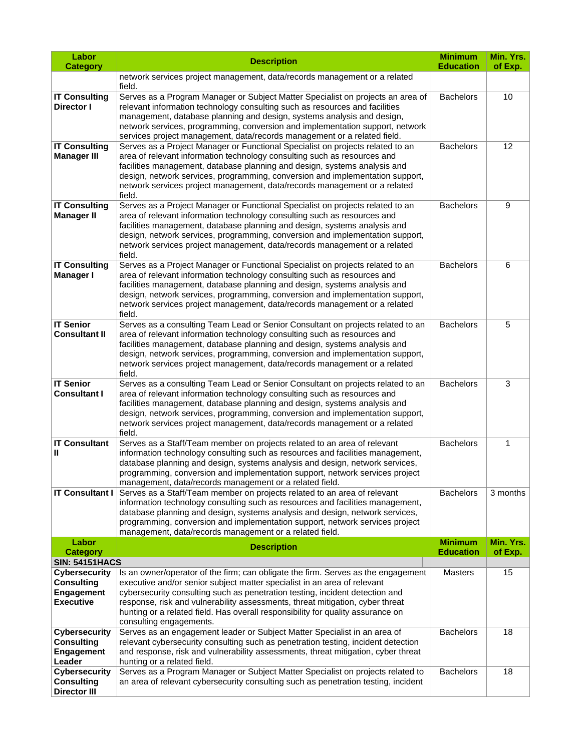| Labor                                                                       | <b>Description</b>                                                                                                                                                                                                                                                                                                                                                                                                                           | <b>Minimum</b><br><b>Education</b> | Min. Yrs.            |
|-----------------------------------------------------------------------------|----------------------------------------------------------------------------------------------------------------------------------------------------------------------------------------------------------------------------------------------------------------------------------------------------------------------------------------------------------------------------------------------------------------------------------------------|------------------------------------|----------------------|
| <b>Category</b>                                                             | network services project management, data/records management or a related                                                                                                                                                                                                                                                                                                                                                                    |                                    | of Exp.              |
|                                                                             | field.                                                                                                                                                                                                                                                                                                                                                                                                                                       |                                    |                      |
| <b>IT Consulting</b><br>Director I                                          | Serves as a Program Manager or Subject Matter Specialist on projects an area of<br>relevant information technology consulting such as resources and facilities<br>management, database planning and design, systems analysis and design,<br>network services, programming, conversion and implementation support, network<br>services project management, data/records management or a related field.                                        | <b>Bachelors</b>                   | 10                   |
| <b>IT Consulting</b><br><b>Manager III</b>                                  | Serves as a Project Manager or Functional Specialist on projects related to an<br>area of relevant information technology consulting such as resources and<br>facilities management, database planning and design, systems analysis and<br>design, network services, programming, conversion and implementation support,<br>network services project management, data/records management or a related<br>field.                              | <b>Bachelors</b>                   | 12                   |
| <b>IT Consulting</b><br><b>Manager II</b>                                   | Serves as a Project Manager or Functional Specialist on projects related to an<br>area of relevant information technology consulting such as resources and<br>facilities management, database planning and design, systems analysis and<br>design, network services, programming, conversion and implementation support,<br>network services project management, data/records management or a related<br>field.                              | <b>Bachelors</b>                   | 9                    |
| <b>IT Consulting</b><br><b>Manager I</b>                                    | Serves as a Project Manager or Functional Specialist on projects related to an<br>area of relevant information technology consulting such as resources and<br>facilities management, database planning and design, systems analysis and<br>design, network services, programming, conversion and implementation support,<br>network services project management, data/records management or a related<br>field.                              | <b>Bachelors</b>                   | 6                    |
| <b>IT Senior</b><br><b>Consultant II</b>                                    | Serves as a consulting Team Lead or Senior Consultant on projects related to an<br>area of relevant information technology consulting such as resources and<br>facilities management, database planning and design, systems analysis and<br>design, network services, programming, conversion and implementation support,<br>network services project management, data/records management or a related<br>field.                             | <b>Bachelors</b>                   | 5                    |
| <b>IT Senior</b><br><b>Consultant I</b>                                     | Serves as a consulting Team Lead or Senior Consultant on projects related to an<br>area of relevant information technology consulting such as resources and<br>facilities management, database planning and design, systems analysis and<br>design, network services, programming, conversion and implementation support,<br>network services project management, data/records management or a related<br>field.                             | <b>Bachelors</b>                   | 3                    |
| <b>IT Consultant</b><br>Ш                                                   | Serves as a Staff/Team member on projects related to an area of relevant<br>information technology consulting such as resources and facilities management,<br>database planning and design, systems analysis and design, network services,<br>programming, conversion and implementation support, network services project<br>management, data/records management or a related field.                                                        | <b>Bachelors</b>                   | 1                    |
| <b>IT Consultant I</b>                                                      | Serves as a Staff/Team member on projects related to an area of relevant<br>information technology consulting such as resources and facilities management,<br>database planning and design, systems analysis and design, network services,<br>programming, conversion and implementation support, network services project<br>management, data/records management or a related field.                                                        | <b>Bachelors</b>                   | 3 months             |
| Labor<br><b>Category</b>                                                    | <b>Description</b>                                                                                                                                                                                                                                                                                                                                                                                                                           | <b>Minimum</b><br><b>Education</b> | Min. Yrs.<br>of Exp. |
| <b>SIN: 54151HACS</b>                                                       |                                                                                                                                                                                                                                                                                                                                                                                                                                              |                                    |                      |
| <b>Cybersecurity</b><br><b>Consulting</b><br><b>Engagement</b><br>Executive | Is an owner/operator of the firm; can obligate the firm. Serves as the engagement<br>executive and/or senior subject matter specialist in an area of relevant<br>cybersecurity consulting such as penetration testing, incident detection and<br>response, risk and vulnerability assessments, threat mitigation, cyber threat<br>hunting or a related field. Has overall responsibility for quality assurance on<br>consulting engagements. | <b>Masters</b>                     | 15                   |
| <b>Cybersecurity</b><br><b>Consulting</b><br><b>Engagement</b><br>Leader    | Serves as an engagement leader or Subject Matter Specialist in an area of<br>relevant cybersecurity consulting such as penetration testing, incident detection<br>and response, risk and vulnerability assessments, threat mitigation, cyber threat<br>hunting or a related field.                                                                                                                                                           | <b>Bachelors</b>                   | 18                   |
| <b>Cybersecurity</b><br><b>Consulting</b><br><b>Director III</b>            | Serves as a Program Manager or Subject Matter Specialist on projects related to<br>an area of relevant cybersecurity consulting such as penetration testing, incident                                                                                                                                                                                                                                                                        | <b>Bachelors</b>                   | 18                   |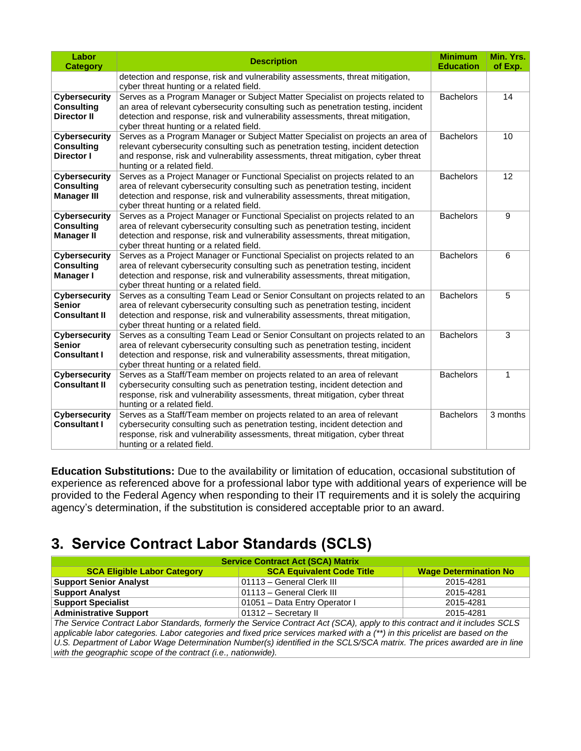| Labor<br><b>Category</b>                                        | <b>Description</b>                                                                                                                                                                                                                                                                                  | <b>Minimum</b><br><b>Education</b> | Min. Yrs.<br>of Exp. |
|-----------------------------------------------------------------|-----------------------------------------------------------------------------------------------------------------------------------------------------------------------------------------------------------------------------------------------------------------------------------------------------|------------------------------------|----------------------|
|                                                                 | detection and response, risk and vulnerability assessments, threat mitigation,<br>cyber threat hunting or a related field.                                                                                                                                                                          |                                    |                      |
| <b>Cybersecurity</b><br><b>Consulting</b><br><b>Director II</b> | Serves as a Program Manager or Subject Matter Specialist on projects related to<br>an area of relevant cybersecurity consulting such as penetration testing, incident<br>detection and response, risk and vulnerability assessments, threat mitigation,<br>cyber threat hunting or a related field. | <b>Bachelors</b>                   | 14                   |
| <b>Cybersecurity</b><br><b>Consulting</b><br><b>Director I</b>  | Serves as a Program Manager or Subject Matter Specialist on projects an area of<br>relevant cybersecurity consulting such as penetration testing, incident detection<br>and response, risk and vulnerability assessments, threat mitigation, cyber threat<br>hunting or a related field.            | <b>Bachelors</b>                   | 10                   |
| <b>Cybersecurity</b><br><b>Consulting</b><br><b>Manager III</b> | Serves as a Project Manager or Functional Specialist on projects related to an<br>area of relevant cybersecurity consulting such as penetration testing, incident<br>detection and response, risk and vulnerability assessments, threat mitigation,<br>cyber threat hunting or a related field.     | <b>Bachelors</b>                   | 12                   |
| <b>Cybersecurity</b><br><b>Consulting</b><br><b>Manager II</b>  | Serves as a Project Manager or Functional Specialist on projects related to an<br>area of relevant cybersecurity consulting such as penetration testing, incident<br>detection and response, risk and vulnerability assessments, threat mitigation,<br>cyber threat hunting or a related field.     | <b>Bachelors</b>                   | 9                    |
| <b>Cybersecurity</b><br><b>Consulting</b><br>Manager I          | Serves as a Project Manager or Functional Specialist on projects related to an<br>area of relevant cybersecurity consulting such as penetration testing, incident<br>detection and response, risk and vulnerability assessments, threat mitigation,<br>cyber threat hunting or a related field.     | <b>Bachelors</b>                   | 6                    |
| <b>Cybersecurity</b><br><b>Senior</b><br><b>Consultant II</b>   | Serves as a consulting Team Lead or Senior Consultant on projects related to an<br>area of relevant cybersecurity consulting such as penetration testing, incident<br>detection and response, risk and vulnerability assessments, threat mitigation,<br>cyber threat hunting or a related field.    | <b>Bachelors</b>                   | 5                    |
| <b>Cybersecurity</b><br><b>Senior</b><br><b>Consultant I</b>    | Serves as a consulting Team Lead or Senior Consultant on projects related to an<br>area of relevant cybersecurity consulting such as penetration testing, incident<br>detection and response, risk and vulnerability assessments, threat mitigation,<br>cyber threat hunting or a related field.    | <b>Bachelors</b>                   | 3                    |
| <b>Cybersecurity</b><br><b>Consultant II</b>                    | Serves as a Staff/Team member on projects related to an area of relevant<br>cybersecurity consulting such as penetration testing, incident detection and<br>response, risk and vulnerability assessments, threat mitigation, cyber threat<br>hunting or a related field.                            | <b>Bachelors</b>                   | $\mathbf{1}$         |
| <b>Cybersecurity</b><br><b>Consultant I</b>                     | Serves as a Staff/Team member on projects related to an area of relevant<br>cybersecurity consulting such as penetration testing, incident detection and<br>response, risk and vulnerability assessments, threat mitigation, cyber threat<br>hunting or a related field.                            | <b>Bachelors</b>                   | 3 months             |

**Education Substitutions:** Due to the availability or limitation of education, occasional substitution of experience as referenced above for a professional labor type with additional years of experience will be provided to the Federal Agency when responding to their IT requirements and it is solely the acquiring agency's determination, if the substitution is considered acceptable prior to an award.

## **3. Service Contract Labor Standards (SCLS)**

| <b>Service Contract Act (SCA) Matrix</b>                                                                                     |                                  |                              |  |  |  |
|------------------------------------------------------------------------------------------------------------------------------|----------------------------------|------------------------------|--|--|--|
| <b>SCA Eligible Labor Category</b>                                                                                           | <b>SCA Equivalent Code Title</b> | <b>Wage Determination No</b> |  |  |  |
| <b>Support Senior Analyst</b>                                                                                                | 01113 - General Clerk III        | 2015-4281                    |  |  |  |
| <b>Support Analyst</b>                                                                                                       | 01113 - General Clerk III        | 2015-4281                    |  |  |  |
| <b>Support Specialist</b>                                                                                                    | 01051 - Data Entry Operator I    | 2015-4281                    |  |  |  |
| <b>Administrative Support</b>                                                                                                | 01312 - Secretary II             | 2015-4281                    |  |  |  |
| The Service Contract Labor Standards, formerly the Service Contract Act (SCA), apply to this contract and it includes SCLS   |                                  |                              |  |  |  |
| applicable labor categories. Labor categories and fixed price services marked with a (**) in this pricelist are based on the |                                  |                              |  |  |  |
| U.S. Department of Labor Wage Determination Number(s) identified in the SCLS/SCA matrix. The prices awarded are in line      |                                  |                              |  |  |  |
| with the geographic scope of the contract (i.e., nationwide).                                                                |                                  |                              |  |  |  |